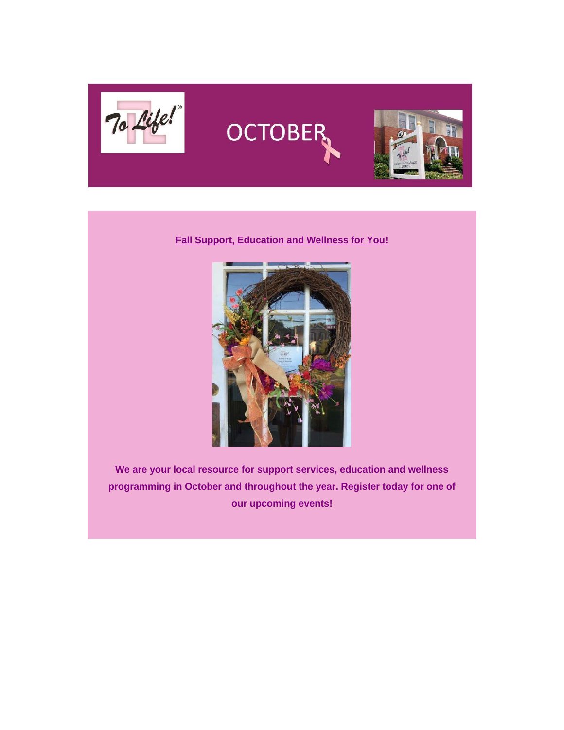





## **Fall Support, Education and Wellness for You!**



**We are your local resource for support services, education and wellness programming in October and throughout the year. Register today for one of our upcoming events!**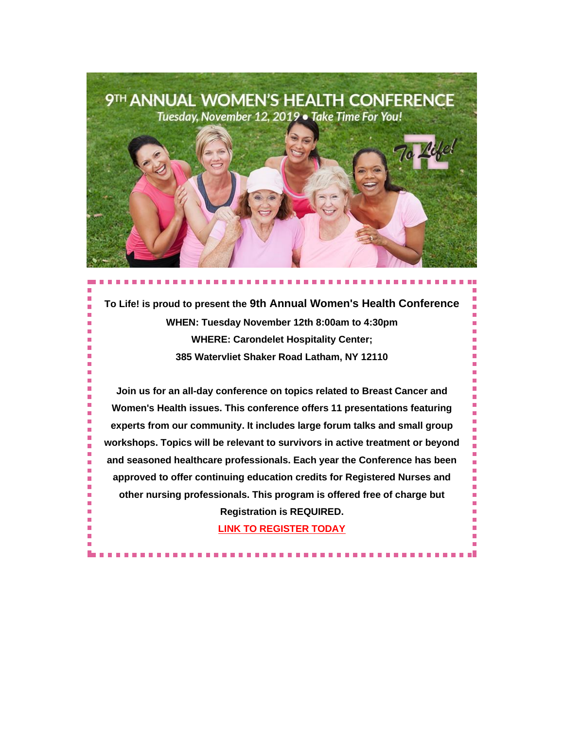

**To Life! is proud to present the 9th Annual Women's Health Conference WHEN: Tuesday November 12th 8:00am to 4:30pm WHERE: Carondelet Hospitality Center; 385 Watervliet Shaker Road Latham, NY 12110**

**Join us for an all-day conference on topics related to Breast Cancer and Women's Health issues. This conference offers 11 presentations featuring experts from our community. It includes large forum talks and small group workshops. Topics will be relevant to survivors in active treatment or beyond and seasoned healthcare professionals. Each year the Conference has been approved to offer continuing education credits for Registered Nurses and other nursing professionals. This program is offered free of charge but Registration is REQUIRED.**

**[LINK TO REGISTER TODAY](https://tolife.us5.list-manage.com/track/click?u=241d59b897b4121e9d2e15914&id=638f5808cf&e=d1f01208e2)**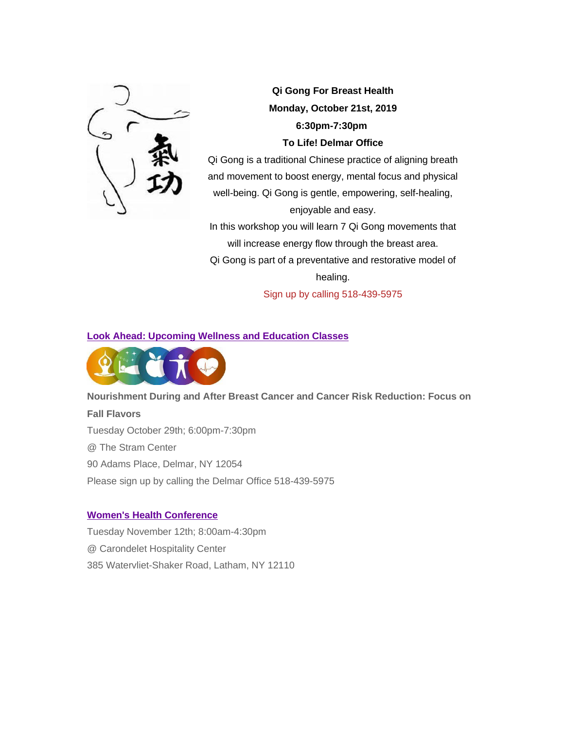

*Qi Gong For Breast Health Monday, October 21st, 2019 6:30pm-7:30pm To Life! Delmar Office*

Qi Gong is a traditional Chinese practice of aligning breath and movement to boost energy, mental focus and physical well-being. Qi Gong is gentle, empowering, self-healing, enjoyable and easy.

In this workshop you will learn 7 Qi Gong movements that will increase energy flow through the breast area.

Qi Gong is part of a preventative and restorative model of healing.

Sign up by calling 518-439-5975

## *Look Ahead: Upcoming Wellness and Education Classes*



### *Nourishment During and After Breast Cancer and Cancer Risk Reduction: Focus on*

### *Fall Flavors*

Tuesday October 29th; 6:00pm-7:30pm

@ The Stram Center

90 Adams Place, Delmar, NY 12054

*Please sign up by calling the Delmar Office 518-439-5975*

### *[Women's Health Conference](https://tolife.us5.list-manage.com/track/click?u=241d59b897b4121e9d2e15914&id=0172704824&e=d1f01208e2)*

Tuesday November 12th; 8:00am-4:30pm @ Carondelet Hospitality Center 385 Watervliet-Shaker Road, Latham, NY 12110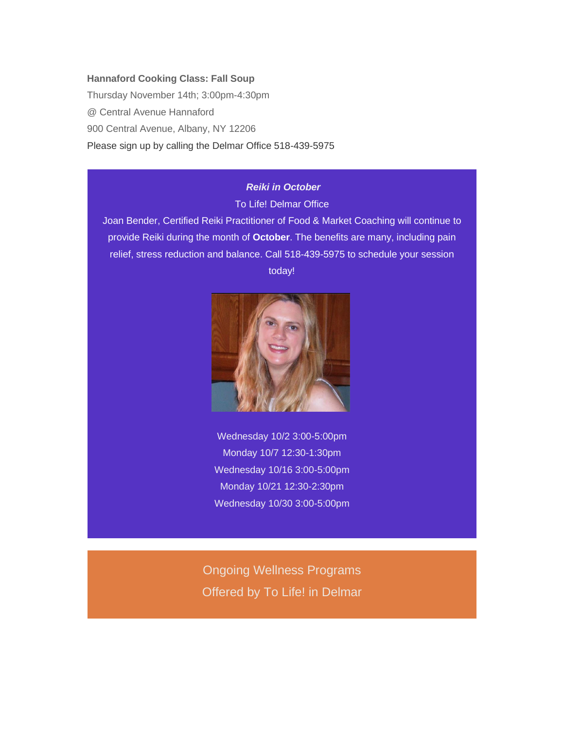#### *Hannaford Cooking Class: Fall Soup*

Thursday November 14th; 3:00pm-4:30pm @ Central Avenue Hannaford 900 Central Avenue, Albany, NY 12206 *Please sign up by calling the Delmar Office 518-439-5975*

# *Reiki in October*

To Life! Delmar Office

Joan Bender, Certified Reiki Practitioner of Food & Market Coaching will continue to provide Reiki during the month of **October**. The benefits are many, including pain relief, stress reduction and balance. Call 518-439-5975 to schedule your session today!



Wednesday 10/2 3:00-5:00pm Monday 10/7 12:30-1:30pm Wednesday 10/16 3:00-5:00pm Monday 10/21 12:30-2:30pm Wednesday 10/30 3:00-5:00pm

Ongoing Wellness Programs Offered by *To Life!* in Delmar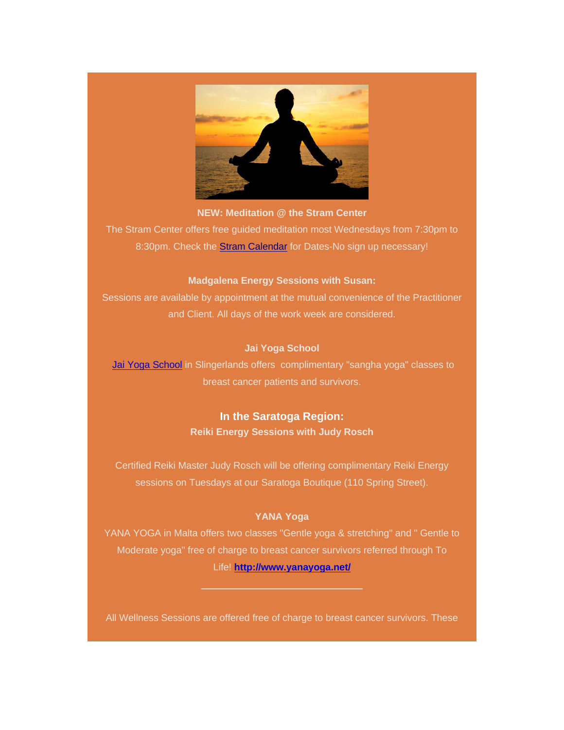

**NEW: Meditation @ the Stram Center**

The Stram Center offers free guided meditation most Wednesdays from 7:30pm to 8:30pm. Check the **[Stram Calendar](https://tolife.us5.list-manage.com/track/click?u=241d59b897b4121e9d2e15914&id=97e479bfd5&e=d1f01208e2)** for Dates-No sign up necessary!

### **Madgalena Energy Sessions with Susan:**

Sessions are available by appointment at the mutual convenience of the Practitioner and Client. All days of the work week are considered.

### *Jai Yoga School*

[Jai Yoga School](https://tolife.us5.list-manage.com/track/click?u=241d59b897b4121e9d2e15914&id=40b4b6f6a4&e=d1f01208e2) in Slingerlands offers complimentary "sangha yoga" classes to breast cancer patients and survivors.

# **In the Saratoga Region:** *Reiki Energy Sessions with Judy Rosch*

Certified Reiki Master Judy Rosch will be offering complimentary Reiki Energy sessions on Tuesdays at our Saratoga Boutique (110 Spring Street).

## **YANA Yoga**

YANA YOGA in Malta offers two classes "Gentle yoga & stretching" and " Gentle to Moderate yoga" free of charge to breast cancer survivors referred through To Life! **[http://www.yanayoga.net/](https://tolife.us5.list-manage.com/track/click?u=241d59b897b4121e9d2e15914&id=ba1727161b&e=d1f01208e2)**

All Wellness Sessions are offered free of charge to breast cancer survivors. These

 $\_$  , and the set of the set of the set of the set of the set of the set of the set of the set of the set of the set of the set of the set of the set of the set of the set of the set of the set of the set of the set of th